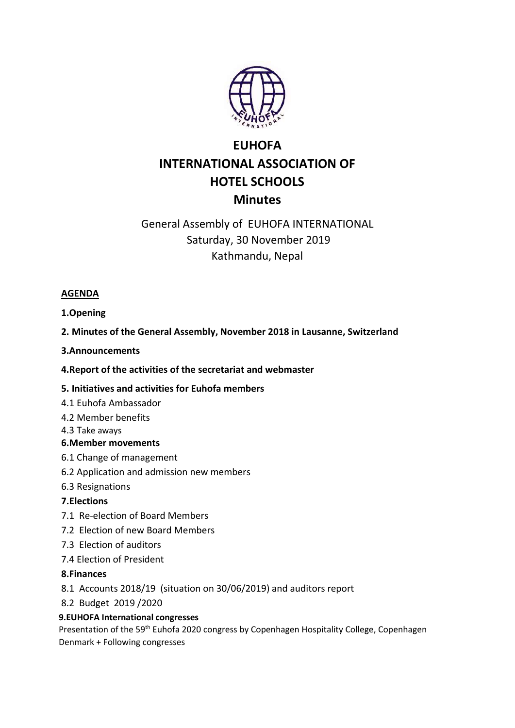

# **EUHOFA** INTERNATIONAL ASSOCIATION OF HOTEL SCHOOLS **Minutes**

## General Assembly of EUHOFA INTERNATIONAL Saturday, 30 November 2019 Kathmandu, Nepal

### AGENDA

1.Opening

2. Minutes of the General Assembly, November 2018 in Lausanne, Switzerland

3.Announcements

4.Report of the activities of the secretariat and webmaster

## 5. Initiatives and activities for Euhofa members

- 4.1 Euhofa Ambassador
- 4.2 Member benefits
- 4.3 Take aways

#### 6.Member movements

- 6.1 Change of management
- 6.2 Application and admission new members
- 6.3 Resignations

## 7.Elections

- 7.1 Re-election of Board Members
- 7.2 Election of new Board Members
- 7.3 Election of auditors
- 7.4 Election of President

## 8.Finances

- 8.1 Accounts 2018/19 (situation on 30/06/2019) and auditors report
- 8.2 Budget 2019 /2020

#### 9.EUHOFA International congresses

Presentation of the 59<sup>th</sup> Euhofa 2020 congress by Copenhagen Hospitality College, Copenhagen Denmark + Following congresses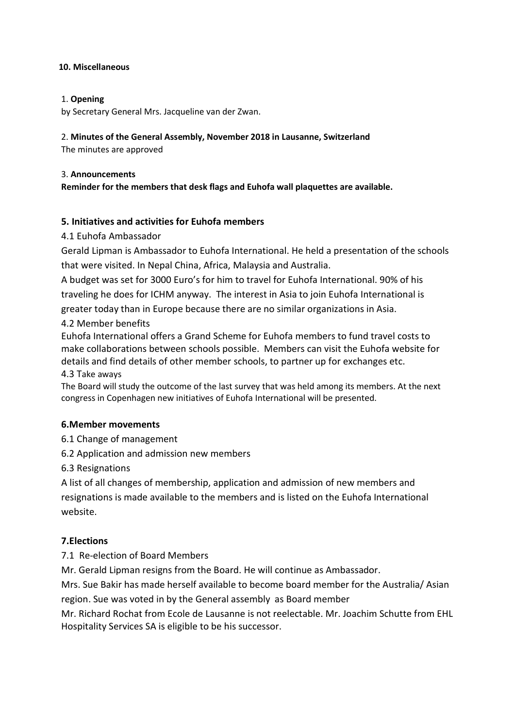#### 10. Miscellaneous

#### 1. Opening

by Secretary General Mrs. Jacqueline van der Zwan.

#### 2. Minutes of the General Assembly, November 2018 in Lausanne, Switzerland

The minutes are approved

#### 3. Announcements

Reminder for the members that desk flags and Euhofa wall plaquettes are available.

#### 5. Initiatives and activities for Euhofa members

#### 4.1 Euhofa Ambassador

Gerald Lipman is Ambassador to Euhofa International. He held a presentation of the schools that were visited. In Nepal China, Africa, Malaysia and Australia.

A budget was set for 3000 Euro's for him to travel for Euhofa International. 90% of his traveling he does for ICHM anyway. The interest in Asia to join Euhofa International is

greater today than in Europe because there are no similar organizations in Asia.

#### 4.2 Member benefits

Euhofa International offers a Grand Scheme for Euhofa members to fund travel costs to make collaborations between schools possible. Members can visit the Euhofa website for details and find details of other member schools, to partner up for exchanges etc.

#### 4.3 Take aways

The Board will study the outcome of the last survey that was held among its members. At the next congress in Copenhagen new initiatives of Euhofa International will be presented.

#### 6.Member movements

6.1 Change of management

6.2 Application and admission new members

6.3 Resignations

A list of all changes of membership, application and admission of new members and resignations is made available to the members and is listed on the Euhofa International website.

#### 7.Elections

#### 7.1 Re-election of Board Members

Mr. Gerald Lipman resigns from the Board. He will continue as Ambassador.

Mrs. Sue Bakir has made herself available to become board member for the Australia/ Asian region. Sue was voted in by the General assembly as Board member

Mr. Richard Rochat from Ecole de Lausanne is not reelectable. Mr. Joachim Schutte from EHL Hospitality Services SA is eligible to be his successor.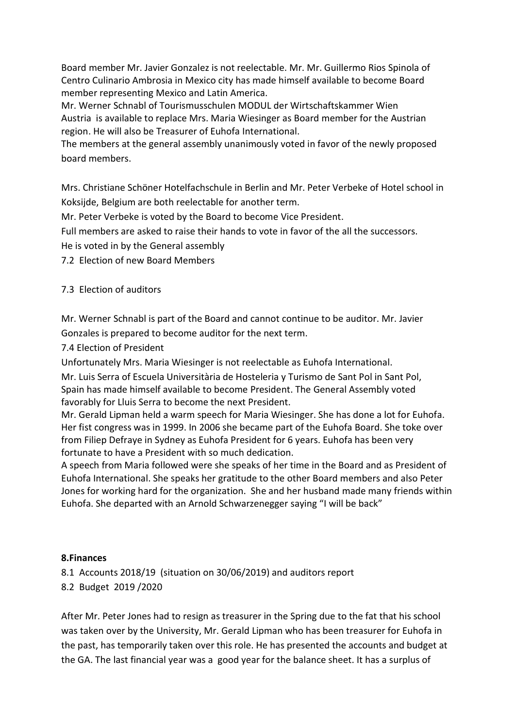Board member Mr. Javier Gonzalez is not reelectable. Mr. Mr. Guillermo Rios Spinola of Centro Culinario Ambrosia in Mexico city has made himself available to become Board member representing Mexico and Latin America.

Mr. Werner Schnabl of Tourismusschulen MODUL der Wirtschaftskammer Wien Austria is available to replace Mrs. Maria Wiesinger as Board member for the Austrian region. He will also be Treasurer of Euhofa International.

The members at the general assembly unanimously voted in favor of the newly proposed board members.

Mrs. Christiane Schöner Hotelfachschule in Berlin and Mr. Peter Verbeke of Hotel school in Koksijde, Belgium are both reelectable for another term.

Mr. Peter Verbeke is voted by the Board to become Vice President.

Full members are asked to raise their hands to vote in favor of the all the successors.

He is voted in by the General assembly

7.2 Election of new Board Members

7.3 Election of auditors

Mr. Werner Schnabl is part of the Board and cannot continue to be auditor. Mr. Javier Gonzales is prepared to become auditor for the next term.

7.4 Election of President

Unfortunately Mrs. Maria Wiesinger is not reelectable as Euhofa International. Mr. Luis Serra of Escuela Universitària de Hosteleria y Turismo de Sant Pol in Sant Pol, Spain has made himself available to become President. The General Assembly voted favorably for Lluis Serra to become the next President.

Mr. Gerald Lipman held a warm speech for Maria Wiesinger. She has done a lot for Euhofa. Her fist congress was in 1999. In 2006 she became part of the Euhofa Board. She toke over from Filiep Defraye in Sydney as Euhofa President for 6 years. Euhofa has been very fortunate to have a President with so much dedication.

A speech from Maria followed were she speaks of her time in the Board and as President of Euhofa International. She speaks her gratitude to the other Board members and also Peter Jones for working hard for the organization. She and her husband made many friends within Euhofa. She departed with an Arnold Schwarzenegger saying "I will be back"

#### 8.Finances

8.1 Accounts 2018/19 (situation on 30/06/2019) and auditors report

8.2 Budget 2019 /2020

After Mr. Peter Jones had to resign as treasurer in the Spring due to the fat that his school was taken over by the University, Mr. Gerald Lipman who has been treasurer for Euhofa in the past, has temporarily taken over this role. He has presented the accounts and budget at the GA. The last financial year was a good year for the balance sheet. It has a surplus of